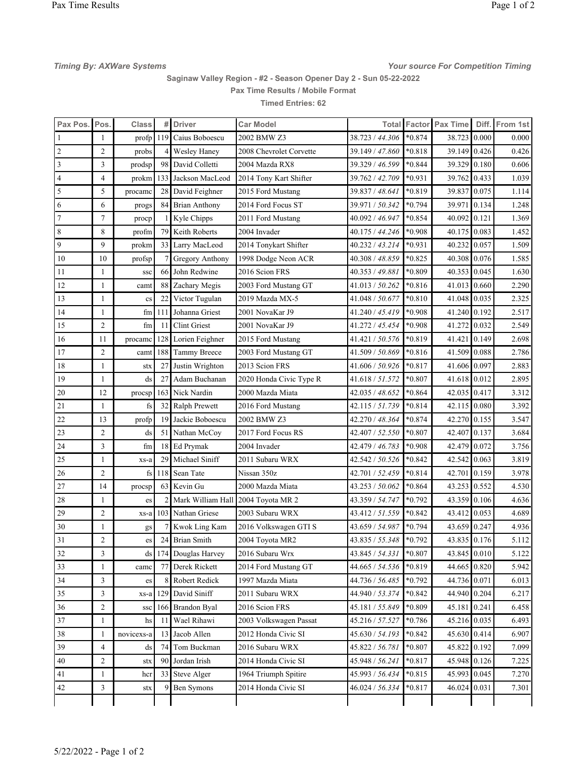Timing By: AXWare Systems Timing Associates and Timing Systems of Timing Systems of Timing Timing Timing Timing

Saginaw Valley Region - #2 - Season Opener Day 2 - Sun 05-22-2022 Pax Time Results / Mobile Format

Timed Entries: 62

| Pax Pos. Pos.  |                | <b>Class</b>            | #   | <b>Driver</b>             | <b>Car Model</b>        |                 |          | <b>Total Factor Pax Time</b> |        | Diff. From 1st |
|----------------|----------------|-------------------------|-----|---------------------------|-------------------------|-----------------|----------|------------------------------|--------|----------------|
|                | 1              | $\text{profit}$         | 119 | Caius Boboescu            | 2002 BMW Z3             | 38.723 / 44.306 | $*0.874$ | 38.723                       | 0.000  | 0.000          |
| $\overline{2}$ | $\overline{2}$ | probs                   | 4   | <b>Wesley Haney</b>       | 2008 Chevrolet Corvette | 39.149 / 47.860 | $*0.818$ | 39.149 0.426                 |        | 0.426          |
| 3              | 3              | prodsp                  | 98  | David Colletti            | 2004 Mazda RX8          | 39.329 / 46.599 | $*0.844$ | 39.329 0.180                 |        | 0.606          |
| 4              | $\overline{4}$ | prokm                   | 133 | Jackson MacLeod           | 2014 Tony Kart Shifter  | 39.762 / 42.709 | $*0.931$ | 39.762 0.433                 |        | 1.039          |
| 5              | 5              | procame                 | 28  | David Feighner            | 2015 Ford Mustang       | 39.837 / 48.641 | $*0.819$ | 39.837                       | 10.075 | 1.114          |
| 6              | 6              | progs                   | 84  | Brian Anthony             | 2014 Ford Focus ST      | 39.971 / 50.342 | $*0.794$ | 39.971                       | 0.134  | 1.248          |
| 7              | $\tau$         | procp                   |     | Kyle Chipps               | 2011 Ford Mustang       | 40.092 / 46.947 | $*0.854$ | 40.092                       | 0.121  | 1.369          |
| 8              | 8              | profm                   | 79  | Keith Roberts             | 2004 Invader            | 40.175 / 44.246 | *0.908   | 40.175 0.083                 |        | 1.452          |
| 9              | 9              | prokm                   | 33  | Larry MacLeod             | 2014 Tonykart Shifter   | 40.232 / 43.214 | $*0.931$ | 40.232 0.057                 |        | 1.509          |
| 10             | 10             | profsp                  |     | Gregory Anthony           | 1998 Dodge Neon ACR     | 40.308 / 48.859 | $*0.825$ | 40.308                       | 0.076  | 1.585          |
| 11             | 1              | <b>SSC</b>              | 66  | John Redwine              | 2016 Scion FRS          | 40.353 / 49.881 | *0.809   | 40.353 0.045                 |        | 1.630          |
| 12             | $\mathbf{1}$   | camt                    | 88  | Zachary Megis             | 2003 Ford Mustang GT    | 41.013 / 50.262 | $*0.816$ | 41.013 0.660                 |        | 2.290          |
| 13             | $\mathbf{1}$   | $\mathbf{c}\mathbf{s}$  | 22  | Victor Tugulan            | 2019 Mazda MX-5         | 41.048 / 50.677 | $*0.810$ | 41.048 0.035                 |        | 2.325          |
| 14             | 1              | fm                      | 111 | Johanna Griest            | 2001 NovaKar J9         | 41.240 / 45.419 | *0.908   | 41.240 0.192                 |        | 2.517          |
| 15             | $\overline{2}$ | fm                      | 11  | <b>Clint Griest</b>       | 2001 NovaKar J9         | 41.272 / 45.454 | $*0.908$ | 41.272 0.032                 |        | 2.549          |
| 16             | 11             | procame                 | 128 | Lorien Feighner           | 2015 Ford Mustang       | 41.421 / 50.576 | $*0.819$ | 41.421                       | 0.149  | 2.698          |
| 17             | $\overline{2}$ | camt                    | 188 | <b>Tammy Breece</b>       | 2003 Ford Mustang GT    | 41.509 / 50.869 | $*0.816$ | 41.509                       | 0.088  | 2.786          |
| 18             | $\mathbf{1}$   | stx                     | 27  | Justin Wrighton           | 2013 Scion FRS          | 41.606 / 50.926 | $*0.817$ | 41.606 0.097                 |        | 2.883          |
| 19             | 1              | ds                      | 27  | Adam Buchanan             | 2020 Honda Civic Type R | 41.618 / 51.572 | $*0.807$ | 41.618 0.012                 |        | 2.895          |
| 20             | 12             | procsp                  |     | 163 Nick Nardin           | 2000 Mazda Miata        | 42.035 / 48.652 | $*0.864$ | 42.035 0.417                 |        | 3.312          |
| 21             | $\mathbf{1}$   | fs                      | 32  | Ralph Prewett             | 2016 Ford Mustang       | 42.115 / 51.739 | $*0.814$ | 42.115 0.080                 |        | 3.392          |
| 22             | 13             | profp                   | 19  | Jackie Boboescu           | 2002 BMW Z3             | 42.270 / 48.364 | $*0.874$ | 42.270                       | 0.155  | 3.547          |
| 23             | $\overline{2}$ | ds                      | 51  | Nathan McCoy              | 2017 Ford Focus RS      | 42.407 / 52.550 | $*0.807$ | 42.407 0.137                 |        | 3.684          |
| 24             | 3              | fm                      | 18  | Ed Prymak                 | 2004 Invader            | 42.479 / 46.783 | $*0.908$ | 42.479 0.072                 |        | 3.756          |
| 25             | $\mathbf{1}$   | xs-a                    | 29  | Michael Siniff            | 2011 Subaru WRX         | 42.542 / 50.526 | $*0.842$ | 42.542                       | 0.063  | 3.819          |
| 26             | $\overline{2}$ | $\mathbf{f}_\mathbf{S}$ | 118 | Sean Tate                 | Nissan 350z             | 42.701 / 52.459 | $*0.814$ | 42.701                       | 0.159  | 3.978          |
| 27             | 14             | procsp                  | 63  | Kevin Gu                  | 2000 Mazda Miata        | 43.253 / 50.062 | $*0.864$ | 43.253 0.552                 |        | 4.530          |
| 28             | $\mathbf{1}$   | es                      |     | Mark William Hall         | 2004 Toyota MR 2        | 43.359 / 54.747 | $*0.792$ | 43.359                       | 0.106  | 4.636          |
| 29             | $\overline{2}$ | xs-a                    |     | 103 Nathan Griese         | 2003 Subaru WRX         | 43.412 / 51.559 | $*0.842$ | 43.412 0.053                 |        | 4.689          |
| 30             | $\mathbf{1}$   | gs                      |     | Kwok Ling Kam             | 2016 Volkswagen GTI S   | 43.659 / 54.987 | $*0.794$ | 43.659 0.247                 |        | 4.936          |
| 31             | $\overline{2}$ | es                      | 24  | <b>Brian Smith</b>        | 2004 Toyota MR2         | 43.835 / 55.348 | $*0.792$ | 43.835 0.176                 |        | 5.112          |
| 32             | 3              |                         |     | ds   174   Douglas Harvey | 2016 Subaru Wrx         | 43.845 / 54.331 | $*0.807$ | 43.845 0.010                 |        | 5.122          |
| 33             | $\mathbf{1}$   | camc                    | 77  | Derek Rickett             | 2014 Ford Mustang GT    | 44.665 / 54.536 | $*0.819$ | 44.665 0.820                 |        | 5.942          |
| 34             | 3              | es                      | 8   | Robert Redick             | 1997 Mazda Miata        | 44.736 / 56.485 | $*0.792$ | 44.736 0.071                 |        | 6.013          |
| 35             | 3              | xs-a                    | 129 | David Siniff              | 2011 Subaru WRX         | 44.940 / 53.374 | $*0.842$ | 44.940 0.204                 |        | 6.217          |
| 36             | $\overline{c}$ | <b>SSC</b>              | 166 | Brandon Byal              | 2016 Scion FRS          | 45.181 / 55.849 | *0.809   | 45.181 0.241                 |        | 6.458          |
| 37             | $\mathbf{1}$   | hs                      | 11  | Wael Rihawi               | 2003 Volkswagen Passat  | 45.216 / 57.527 | $*0.786$ | 45.216 0.035                 |        | 6.493          |
| 38             | 1              | novicexs-a              | 13  | Jacob Allen               | 2012 Honda Civic SI     | 45.630 / 54.193 | $*0.842$ | 45.630 0.414                 |        | 6.907          |
| 39             | $\overline{4}$ | ds                      | 74  | Tom Buckman               | 2016 Subaru WRX         | 45.822 / 56.781 | $*0.807$ | 45.822 0.192                 |        | 7.099          |
| 40             | 2              | stx                     | 90  | Jordan Irish              | 2014 Honda Civic SI     | 45.948 / 56.241 | $*0.817$ | 45.948 0.126                 |        | 7.225          |
| 41             | 1              | hcr                     | 33  | <b>Steve Alger</b>        | 1964 Triumph Spitire    | 45.993 / 56.434 | $*0.815$ | 45.993 0.045                 |        | 7.270          |
| 42             | 3              | stx                     | 9   | Ben Symons                | 2014 Honda Civic SI     | 46.024 / 56.334 | $*0.817$ | 46.024 0.031                 |        | 7.301          |
|                |                |                         |     |                           |                         |                 |          |                              |        |                |